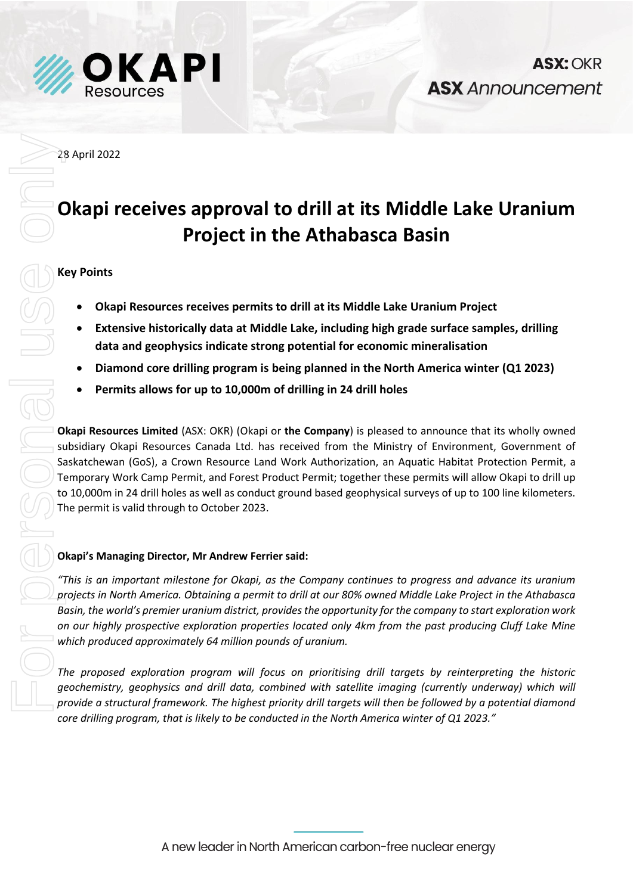

28 April 2022

# **Okapi receives approval to drill at its Middle Lake Uranium Project in the Athabasca Basin**

**ASX: OKR** 

**ASX** Announcement

# **Key Points**

- **Okapi Resources receives permits to drill at its Middle Lake Uranium Project**
- **Extensive historically data at Middle Lake, including high grade surface samples, drilling data and geophysics indicate strong potential for economic mineralisation**
- **Diamond core drilling program is being planned in the North America winter (Q1 2023)**
- **Permits allows for up to 10,000m of drilling in 24 drill holes**

**Okapi Resources Limited** (ASX: OKR) (Okapi or **the Company**) is pleased to announce that its wholly owned subsidiary Okapi Resources Canada Ltd. has received from the Ministry of Environment, Government of Saskatchewan (GoS), a Crown Resource Land Work Authorization, an Aquatic Habitat Protection Permit, a Temporary Work Camp Permit, and Forest Product Permit; together these permits will allow Okapi to drill up to 10,000m in 24 drill holes as well as conduct ground based geophysical surveys of up to 100 line kilometers. The permit is valid through to October 2023. **Provide a structure a structure and to drill at its Middle Lake Uranium<br>
Project in the Athabasca Basin<br>
• Okapi Resources receives permits to drill at its Middle Lake Uranium Project<br>
• Extensive historically data at Mid** 

# **Okapi's Managing Director, Mr Andrew Ferrier said:**

*"This is an important milestone for Okapi, as the Company continues to progress and advance its uranium projects in North America. Obtaining a permit to drill at our 80% owned Middle Lake Project in the Athabasca Basin, the world's premier uranium district, provides the opportunity for the company to start exploration work on our highly prospective exploration properties located only 4km from the past producing Cluff Lake Mine which produced approximately 64 million pounds of uranium.* 

*The proposed exploration program will focus on prioritising drill targets by reinterpreting the historic geochemistry, geophysics and drill data, combined with satellite imaging (currently underway) which will core drilling program, that is likely to be conducted in the North America winter of Q1 2023."*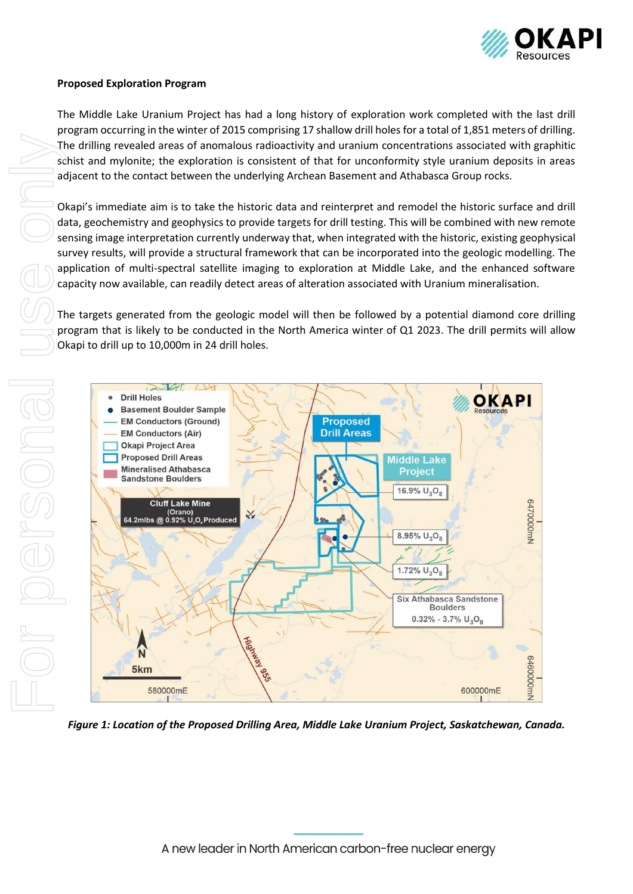

#### **Proposed Exploration Program**

The Middle Lake Uranium Project has had a long history of exploration work completed with the last drill program occurring in the winter of 2015 comprising 17 shallow drill holes for a total of 1,851 meters of drilling. The drilling revealed areas of anomalous radioactivity and uranium concentrations associated with graphitic schist and mylonite; the exploration is consistent of that for unconformity style uranium deposits in areas adjacent to the contact between the underlying Archean Basement and Athabasca Group rocks.

Okapi's immediate aim is to take the historic data and reinterpret and remodel the historic surface and drill data, geochemistry and geophysics to provide targets for drill testing. This will be combined with new remote sensing image interpretation currently underway that, when integrated with the historic, existing geophysical survey results, will provide a structural framework that can be incorporated into the geologic modelling. The application of multi-spectral satellite imaging to exploration at Middle Lake, and the enhanced software capacity now available, can readily detect areas of alteration associated with Uranium mineralisation.

The targets generated from the geologic model will then be followed by a potential diamond core drilling program that is likely to be conducted in the North America winter of Q1 2023. The drill permits will allow



*Figure 1: Location of the Proposed Drilling Area, Middle Lake Uranium Project, Saskatchewan, Canada.*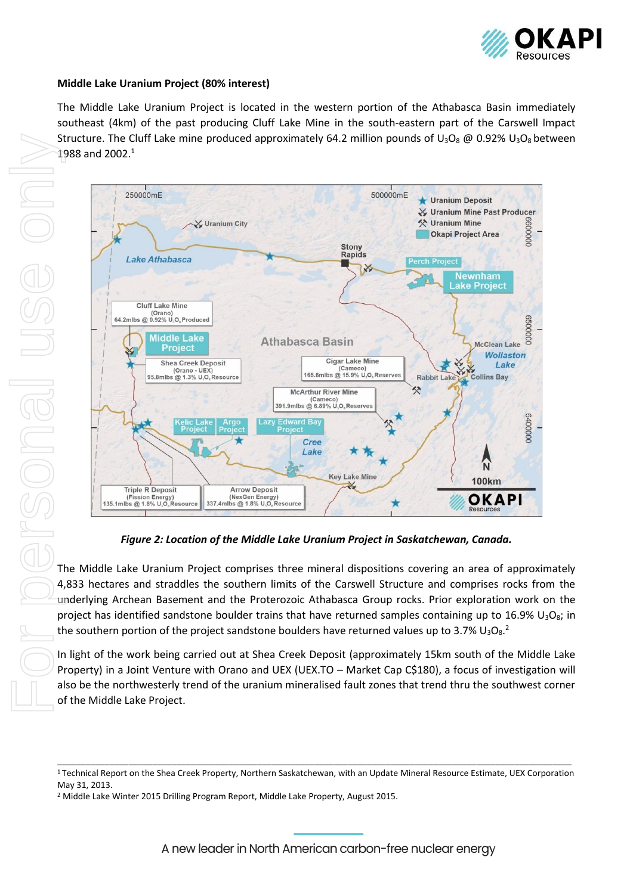

#### **Middle Lake Uranium Project (80% interest)**

The Middle Lake Uranium Project is located in the western portion of the Athabasca Basin immediately southeast (4km) of the past producing Cluff Lake Mine in the south-eastern part of the Carswell Impact Structure. The Cluff Lake mine produced approximately 64.2 million pounds of  $U_3O_8 \text{ @ } 0.92\% \text{ U}_3O_8$  between 1988 and 2002.<sup>1</sup>



*Figure 2: Location of the Middle Lake Uranium Project in Saskatchewan, Canada.*

The Middle Lake Uranium Project comprises three mineral dispositions covering an area of approximately 4,833 hectares and straddles the southern limits of the Carswell Structure and comprises rocks from the underlying Archean Basement and the Proterozoic Athabasca Group rocks. Prior exploration work on the project has identified sandstone boulder trains that have returned samples containing up to 16.9%  $U_3O_8$ ; in the southern portion of the project sandstone boulders have returned values up to 3.7%  $U_3O_8$ .

In light of the work being carried out at Shea Creek Deposit (approximately 15km south of the Middle Lake Property) in a Joint Venture with Orano and UEX (UEX.TO – Market Cap C\$180), a focus of investigation will also be the northwesterly trend of the uranium mineralised fault zones that trend thru the southwest corner of the Middle Lake Project.

\_\_\_\_\_\_\_\_\_\_\_\_\_\_\_\_\_\_\_\_\_\_\_\_\_\_\_\_\_\_\_\_\_\_\_\_\_\_\_\_\_\_\_\_\_\_\_\_\_\_\_\_\_\_\_\_\_\_\_\_\_\_\_\_\_\_\_\_\_\_\_\_\_\_\_\_\_\_\_\_\_\_\_\_\_\_\_\_\_\_\_\_\_\_\_\_\_\_\_\_\_\_\_\_\_\_\_\_ <sup>1</sup> Technical Report on the Shea Creek Property, Northern Saskatchewan, with an Update Mineral Resource Estimate, UEX Corporation May 31, 2013.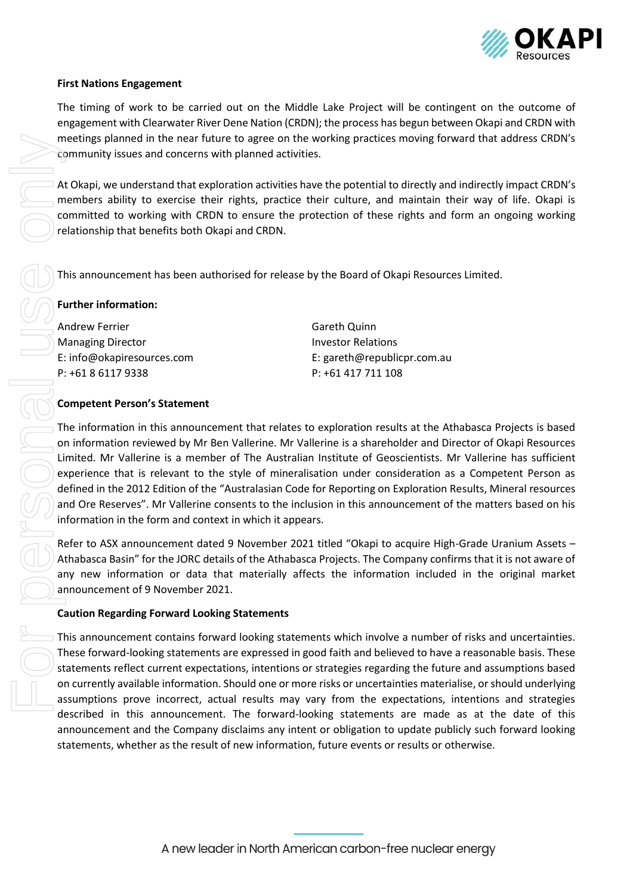

#### **First Nations Engagement**

The timing of work to be carried out on the Middle Lake Project will be contingent on the outcome of engagement with Clearwater River Dene Nation (CRDN); the process has begun between Okapi and CRDN with meetings planned in the near future to agree on the working practices moving forward that address CRDN's community issues and concerns with planned activities.

At Okapi, we understand that exploration activities have the potential to directly and indirectly impact CRDN's members ability to exercise their rights, practice their culture, and maintain their way of life. Okapi is committed to working with CRDN to ensure the protection of these rights and form an ongoing working relationship that benefits both Okapi and CRDN.

This announcement has been authorised for release by the Board of Okapi Resources Limited.

#### **Further information:**

Andrew Ferrier Managing Director E: info@okapiresources.com P: +61 8 6117 9338

Gareth Quinn Investor Relations E: gareth@republicpr.com.au P: +61 417 711 108

#### **Competent Person's Statement**

The information in this announcement that relates to exploration results at the Athabasca Projects is based on information reviewed by Mr Ben Vallerine. Mr Vallerine is a shareholder and Director of Okapi Resources Limited. Mr Vallerine is a member of The Australian Institute of Geoscientists. Mr Vallerine has sufficient experience that is relevant to the style of mineralisation under consideration as a Competent Person as defined in the 2012 Edition of the "Australasian Code for Reporting on Exploration Results, Mineral resources and Ore Reserves". Mr Vallerine consents to the inclusion in this announcement of the matters based on his information in the form and context in which it appears.

Refer to ASX announcement dated 9 November 2021 titled "Okapi to acquire High-Grade Uranium Assets – Athabasca Basin" for the JORC details of the Athabasca Projects. The Company confirms that it is not aware of any new information or data that materially affects the information included in the original market announcement of 9 November 2021.

#### **Caution Regarding Forward Looking Statements**

This announcement contains forward looking statements which involve a number of risks and uncertainties. These forward-looking statements are expressed in good faith and believed to have a reasonable basis. These statements reflect current expectations, intentions or strategies regarding the future and assumptions based on currently available information. Should one or more risks or uncertainties materialise, or should underlying assumptions prove incorrect, actual results may vary from the expectations, intentions and strategies described in this announcement. The forward-looking statements are made as at the date of this announcement and the Company disclaims any intent or obligation to update publicly such forward looking statement this interest the results of the results of the results of new information increases the results of the results of new information in the results or results or results or results or results or results or results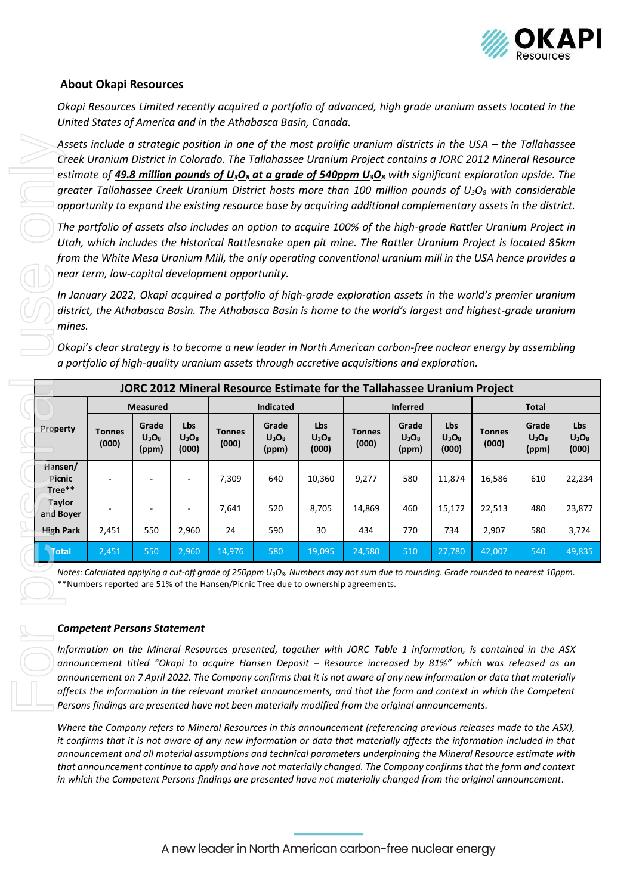

### **About Okapi Resources**

*Okapi Resources Limited recently acquired a portfolio of advanced, high grade uranium assets located in the United States of America and in the Athabasca Basin, Canada.*

|                             |                                                                                                                                            |                            |                          | Assets include a strategic position in one of the most prolific uranium districts in the USA – the Tallahassee<br>Creek Uranium District in Colorado. The Tallahassee Uranium Project contains a JORC 2012 Mineral Resource<br>estimate of <b>49.8 million pounds of U<sub>3</sub>O<sub>8</sub> at a grade of 540ppm U<sub>3</sub>O<sub>8</sub> with significant exploration upside. The</b>                                                                                                                                                                                                                      |                            |                          |                        |                            |                          |                        |                            |                          |
|-----------------------------|--------------------------------------------------------------------------------------------------------------------------------------------|----------------------------|--------------------------|-------------------------------------------------------------------------------------------------------------------------------------------------------------------------------------------------------------------------------------------------------------------------------------------------------------------------------------------------------------------------------------------------------------------------------------------------------------------------------------------------------------------------------------------------------------------------------------------------------------------|----------------------------|--------------------------|------------------------|----------------------------|--------------------------|------------------------|----------------------------|--------------------------|
|                             |                                                                                                                                            |                            |                          | greater Tallahassee Creek Uranium District hosts more than 100 million pounds of $U_3O_8$ with considerable<br>opportunity to expand the existing resource base by acquiring additional complementary assets in the district.                                                                                                                                                                                                                                                                                                                                                                                     |                            |                          |                        |                            |                          |                        |                            |                          |
|                             |                                                                                                                                            |                            |                          | The portfolio of assets also includes an option to acquire 100% of the high-grade Rattler Uranium Project in<br>Utah, which includes the historical Rattlesnake open pit mine. The Rattler Uranium Project is located 85km<br>from the White Mesa Uranium Mill, the only operating conventional uranium mill in the USA hence provides a<br>near term, low-capital development opportunity.                                                                                                                                                                                                                       |                            |                          |                        |                            |                          |                        |                            |                          |
| mines.                      |                                                                                                                                            |                            |                          | In January 2022, Okapi acquired a portfolio of high-grade exploration assets in the world's premier uranium<br>district, the Athabasca Basin. The Athabasca Basin is home to the world's largest and highest-grade uranium                                                                                                                                                                                                                                                                                                                                                                                        |                            |                          |                        |                            |                          |                        |                            |                          |
|                             |                                                                                                                                            |                            |                          | Okapi's clear strategy is to become a new leader in North American carbon-free nuclear energy by assembling<br>a portfolio of high-quality uranium assets through accretive acquisitions and exploration.                                                                                                                                                                                                                                                                                                                                                                                                         |                            |                          |                        |                            |                          |                        |                            |                          |
|                             | JORC 2012 Mineral Resource Estimate for the Tallahassee Uranium Project<br><b>Inferred</b><br><b>Measured</b><br>Indicated<br><b>Total</b> |                            |                          |                                                                                                                                                                                                                                                                                                                                                                                                                                                                                                                                                                                                                   |                            |                          |                        |                            |                          |                        |                            |                          |
| Property                    | <b>Tonnes</b><br>(000)                                                                                                                     | Grade<br>$U_3O_8$<br>(ppm) | Lbs<br>$U_3O_8$<br>(000) | <b>Tonnes</b><br>(000)                                                                                                                                                                                                                                                                                                                                                                                                                                                                                                                                                                                            | Grade<br>$U_3O_8$<br>(ppm) | Lbs<br>$U_3O_8$<br>(000) | <b>Tonnes</b><br>(000) | Grade<br>$U_3O_8$<br>(ppm) | Lbs<br>$U_3O_8$<br>(000) | <b>Tonnes</b><br>(000) | Grade<br>$U_3O_8$<br>(ppm) | Lbs<br>$U_3O_8$<br>(000) |
| Hansen/<br>Picnic<br>Tree** |                                                                                                                                            |                            |                          | 7,309                                                                                                                                                                                                                                                                                                                                                                                                                                                                                                                                                                                                             | 640                        | 10,360                   | 9,277                  | 580                        | 11,874                   | 16,586                 | 610                        | 22,234                   |
| Taylor<br>and Boyer         |                                                                                                                                            |                            |                          | 7,641                                                                                                                                                                                                                                                                                                                                                                                                                                                                                                                                                                                                             | 520                        | 8,705                    | 14,869                 | 460                        | 15,172                   | 22,513                 | 480                        | 23,877                   |
| <b>High Park</b>            | 2,451                                                                                                                                      | 550                        | 2,960                    | 24                                                                                                                                                                                                                                                                                                                                                                                                                                                                                                                                                                                                                | 590                        | 30                       | 434                    | 770                        | 734                      | 2,907                  | 580                        | 3,724                    |
| <b>Total</b>                | 2,451                                                                                                                                      | 550                        | 2,960                    | 14,976                                                                                                                                                                                                                                                                                                                                                                                                                                                                                                                                                                                                            | 580                        | 19,095                   | 24,580                 | 510                        | 27,780                   | 42,007                 | 540                        | 49,835                   |
|                             | <b>Competent Persons Statement</b>                                                                                                         |                            |                          | Notes: Calculated applying a cut-off grade of 250ppm U <sub>3</sub> O <sub>8</sub> . Numbers may not sum due to rounding. Grade rounded to nearest 10ppm.<br>**Numbers reported are 51% of the Hansen/Picnic Tree due to ownership agreements.<br>Information on the Mineral Resources presented, together with JORC Table 1 information, is contained in the ASX                                                                                                                                                                                                                                                 |                            |                          |                        |                            |                          |                        |                            |                          |
|                             |                                                                                                                                            |                            |                          | announcement titled "Okapi to acquire Hansen Deposit - Resource increased by 81%" which was released as an<br>announcement on 7 April 2022. The Company confirms that it is not aware of any new information or data that materially<br>affects the information in the relevant market announcements, and that the form and context in which the Competent<br>Persons findings are presented have not been materially modified from the original announcements.                                                                                                                                                   |                            |                          |                        |                            |                          |                        |                            |                          |
|                             |                                                                                                                                            |                            |                          | Where the Company refers to Mineral Resources in this announcement (referencing previous releases made to the ASX),<br>it confirms that it is not aware of any new information or data that materially affects the information included in that<br>announcement and all material assumptions and technical parameters underpinning the Mineral Resource estimate with<br>that announcement continue to apply and have not materially changed. The Company confirms that the form and context<br>in which the Competent Persons findings are presented have not materially changed from the original announcement. |                            |                          |                        |                            |                          |                        |                            |                          |

#### *Competent Persons Statement*